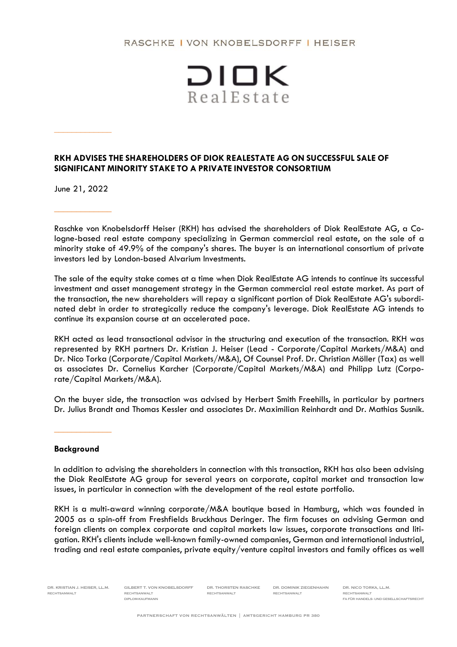## RASCHKE I VON KNOBELSDORFF I HEISER



## **RKH ADVISES THE SHAREHOLDERS OF DIOK REALESTATE AG ON SUCCESSFUL SALE OF SIGNIFICANT MINORITY STAKE TO A PRIVATE INVESTOR CONSORTIUM**

June 21, 2022

\_\_\_\_\_\_\_\_\_\_\_\_\_

Raschke von Knobelsdorff Heiser (RKH) has advised the shareholders of Diok RealEstate AG, a Cologne-based real estate company specializing in German commercial real estate, on the sale of a minority stake of 49.9% of the company's shares. The buyer is an international consortium of private investors led by London-based Alvarium Investments.

The sale of the equity stake comes at a time when Diok RealEstate AG intends to continue its successful investment and asset management strategy in the German commercial real estate market. As part of the transaction, the new shareholders will repay a significant portion of Diok RealEstate AG's subordinated debt in order to strategically reduce the company's leverage. Diok RealEstate AG intends to continue its expansion course at an accelerated pace.

RKH acted as lead transactional advisor in the structuring and execution of the transaction. RKH was represented by RKH partners Dr. Kristian J. Heiser (Lead - Corporate/Capital Markets/M&A) and Dr. Nico Torka (Corporate/Capital Markets/M&A), Of Counsel Prof. Dr. Christian Möller (Tax) as well as associates Dr. Cornelius Karcher (Corporate/Capital Markets/M&A) and Philipp Lutz (Corporate/Capital Markets/M&A).

On the buyer side, the transaction was advised by Herbert Smith Freehills, in particular by partners Dr. Julius Brandt and Thomas Kessler and associates Dr. Maximilian Reinhardt and Dr. Mathias Susnik.

## **Background**

\_\_\_\_\_\_\_\_\_\_\_\_\_

In addition to advising the shareholders in connection with this transaction, RKH has also been advising the Diok RealEstate AG group for several years on corporate, capital market and transaction law issues, in particular in connection with the development of the real estate portfolio.

RKH is a multi-award winning corporate/M&A boutique based in Hamburg, which was founded in 2005 as a spin-off from Freshfields Bruckhaus Deringer. The firm focuses on advising German and foreign clients on complex corporate and capital markets law issues, corporate transactions and litigation. RKH's clients include well-known family-owned companies, German and international industrial, trading and real estate companies, private equity/venture capital investors and family offices as well

DR. KRISTIAN J. HEISER, LL.M. GILBERT T. VON KNOBELSDORFF DR. THORSTEN RASCHKE DR. DOMINIK ZIEGENHAHN DR. NICO TORKA, LL.M. RECHTSANWALT RECHTSANWALT RECHTSANWALT RECHTSANWALT RECHTSANWALT

DIPLOM-KAUFMANN FA FÜR HANDELS-UND GESELLSCHAFTSRECHT